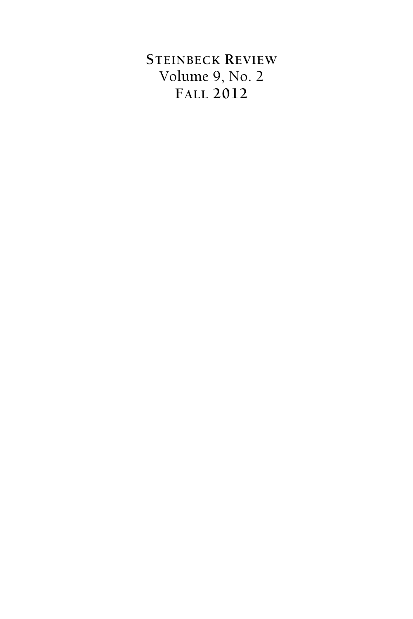## **STEINBECK REVIEW** Volume 9, No. 2 **FALL 2012**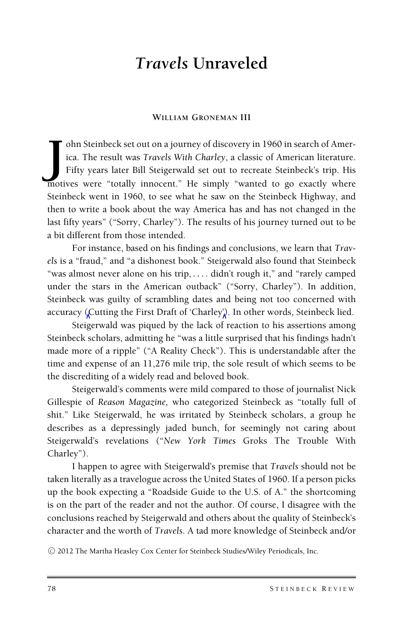# *Travels* **Unraveled**

#### **WILLIAM GRONEMAN III**

The Steinbeck set out on a journey of discovery in 1960 in search of America. The result was *Travels With Charley*, a classic of American literature.<br>Fifty years later Bill Steigerwald set out to recreate Steinbeck's trip ohn Steinbeck set out on a journey of discovery in 1960 in search of America. The result was *Travels With Charley*, a classic of American literature. Fifty years later Bill Steigerwald set out to recreate Steinbeck's trip. His Steinbeck went in 1960, to see what he saw on the Steinbeck Highway, and then to write a book about the way America has and has not changed in the last fifty years" ("Sorry, Charley"). The results of his journey turned out to be a bit different from those intended.

For instance, based on his findings and conclusions, we learn that *Travels* is a "fraud," and "a dishonest book." Steigerwald also found that Steinbeck "was almost never alone on his trip, *...* . didn't rough it," and "rarely camped under the stars in the American outback" ("Sorry, Charley"). In addition, Steinbeck was guilty of scrambling dates and being not too concerned with accuracy (Cutting the First Draft of 'Charley'). In other words, Steinbeck lied.

Steigerwald was piqued by the lack of reaction to his assertions among Steinbeck scholars, admitting he "was a little surprised that his findings hadn't made more of a ripple" ("A Reality Check"). This is understandable after the time and expense of an 11,276 mile trip, the sole result of which seems to be the discrediting of a widely read and beloved book.

Steigerwald's comments were mild compared to those of journalist Nick Gillespie of *Reason Magazine,* who categorized Steinbeck as "totally full of shit." Like Steigerwald, he was irritated by Steinbeck scholars, a group he describes as a depressingly jaded bunch, for seemingly not caring about Steigerwald's revelations ("*New York Times* Groks The Trouble With Charley").

I happen to agree with Steigerwald's premise that *Travels* should not be taken literally as a travelogue across the United States of 1960. If a person picks up the book expecting a "Roadside Guide to the U.S. of A." the shortcoming is on the part of the reader and not the author. Of course, I disagree with the conclusions reached by Steigerwald and others about the quality of Steinbeck's character and the worth of *Travels*. A tad more knowledge of Steinbeck and/or

-<sup>C</sup> 2012 The Martha Heasley Cox Center for Steinbeck Studies/Wiley Periodicals, Inc.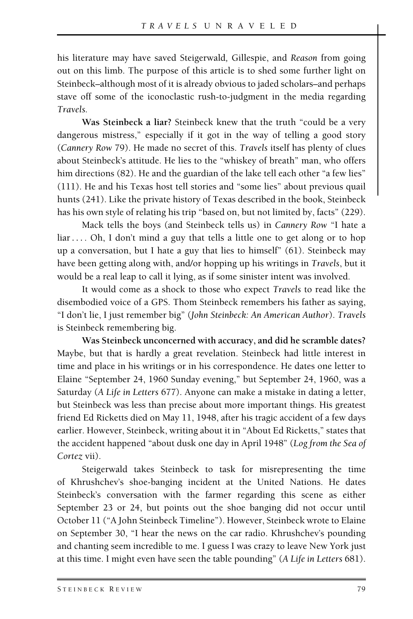his literature may have saved Steigerwald*,* Gillespie, and *Reason* from going out on this limb. The purpose of this article is to shed some further light on Steinbeck–although most of it is already obvious to jaded scholars–and perhaps stave off some of the iconoclastic rush-to-judgment in the media regarding *Travels.*

**Was Steinbeck a liar?** Steinbeck knew that the truth "could be a very dangerous mistress," especially if it got in the way of telling a good story (*Cannery Row* 79). He made no secret of this. *Travels* itself has plenty of clues about Steinbeck's attitude. He lies to the "whiskey of breath" man, who offers him directions (82). He and the guardian of the lake tell each other "a few lies" (111). He and his Texas host tell stories and "some lies" about previous quail hunts (241). Like the private history of Texas described in the book, Steinbeck has his own style of relating his trip "based on, but not limited by, facts" (229).

Mack tells the boys (and Steinbeck tells us) in *Cannery Row* "I hate a liar.... Oh, I don't mind a guy that tells a little one to get along or to hop up a conversation, but I hate a guy that lies to himself" (61). Steinbeck may have been getting along with, and/or hopping up his writings in *Travels*, but it would be a real leap to call it lying, as if some sinister intent was involved.

It would come as a shock to those who expect *Travels* to read like the disembodied voice of a GPS. Thom Steinbeck remembers his father as saying, "I don't lie, I just remember big" (*John Steinbeck: An American Author*). *Travels* is Steinbeck remembering big.

**Was Steinbeck unconcerned with accuracy, and did he scramble dates?** Maybe, but that is hardly a great revelation. Steinbeck had little interest in time and place in his writings or in his correspondence. He dates one letter to Elaine "September 24, 1960 Sunday evening," but September 24, 1960, was a Saturday (*A Life in Letters* 677). Anyone can make a mistake in dating a letter, but Steinbeck was less than precise about more important things. His greatest friend Ed Ricketts died on May 11, 1948, after his tragic accident of a few days earlier. However, Steinbeck, writing about it in "About Ed Ricketts," states that the accident happened "about dusk one day in April 1948" (*Log from the Sea of Cortez* vii).

Steigerwald takes Steinbeck to task for misrepresenting the time of Khrushchev's shoe-banging incident at the United Nations. He dates Steinbeck's conversation with the farmer regarding this scene as either September 23 or 24, but points out the shoe banging did not occur until October 11 ("A John Steinbeck Timeline"). However, Steinbeck wrote to Elaine on September 30, "I hear the news on the car radio. Khrushchev's pounding and chanting seem incredible to me. I guess I was crazy to leave New York just at this time. I might even have seen the table pounding" (*A Life in Letters* 681).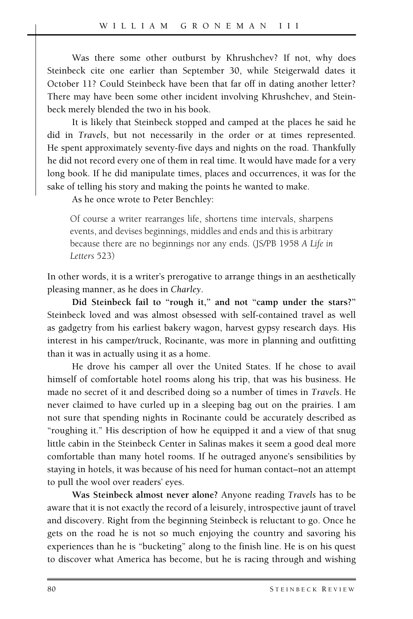Was there some other outburst by Khrushchev? If not, why does Steinbeck cite one earlier than September 30, while Steigerwald dates it October 11? Could Steinbeck have been that far off in dating another letter? There may have been some other incident involving Khrushchev, and Steinbeck merely blended the two in his book.

It is likely that Steinbeck stopped and camped at the places he said he did in *Travels*, but not necessarily in the order or at times represented. He spent approximately seventy-five days and nights on the road. Thankfully he did not record every one of them in real time. It would have made for a very long book. If he did manipulate times, places and occurrences, it was for the sake of telling his story and making the points he wanted to make.

As he once wrote to Peter Benchley:

Of course a writer rearranges life, shortens time intervals, sharpens events, and devises beginnings, middles and ends and this is arbitrary because there are no beginnings nor any ends. (JS/PB 1958 *A Life in Letters* 523)

In other words, it is a writer's prerogative to arrange things in an aesthetically pleasing manner, as he does in *Charley*.

**Did Steinbeck fail to "rough it," and not "camp under the stars?"** Steinbeck loved and was almost obsessed with self-contained travel as well as gadgetry from his earliest bakery wagon, harvest gypsy research days. His interest in his camper/truck, Rocinante, was more in planning and outfitting than it was in actually using it as a home.

He drove his camper all over the United States. If he chose to avail himself of comfortable hotel rooms along his trip, that was his business. He made no secret of it and described doing so a number of times in *Travels*. He never claimed to have curled up in a sleeping bag out on the prairies. I am not sure that spending nights in Rocinante could be accurately described as "roughing it." His description of how he equipped it and a view of that snug little cabin in the Steinbeck Center in Salinas makes it seem a good deal more comfortable than many hotel rooms. If he outraged anyone's sensibilities by staying in hotels, it was because of his need for human contact–not an attempt to pull the wool over readers' eyes.

**Was Steinbeck almost never alone?** Anyone reading *Travels* has to be aware that it is not exactly the record of a leisurely, introspective jaunt of travel and discovery. Right from the beginning Steinbeck is reluctant to go. Once he gets on the road he is not so much enjoying the country and savoring his experiences than he is "bucketing" along to the finish line. He is on his quest to discover what America has become, but he is racing through and wishing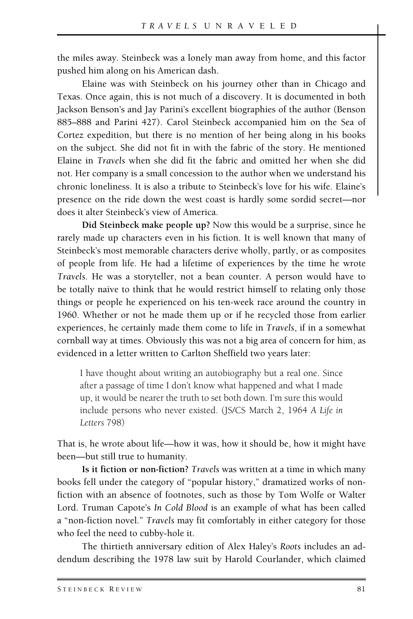the miles away. Steinbeck was a lonely man away from home, and this factor pushed him along on his American dash.

Elaine was with Steinbeck on his journey other than in Chicago and Texas. Once again, this is not much of a discovery. It is documented in both Jackson Benson's and Jay Parini's excellent biographies of the author (Benson 885–888 and Parini 427). Carol Steinbeck accompanied him on the Sea of Cortez expedition, but there is no mention of her being along in his books on the subject. She did not fit in with the fabric of the story. He mentioned Elaine in *Travels* when she did fit the fabric and omitted her when she did not. Her company is a small concession to the author when we understand his chronic loneliness. It is also a tribute to Steinbeck's love for his wife. Elaine's presence on the ride down the west coast is hardly some sordid secret—nor does it alter Steinbeck's view of America.

**Did Steinbeck make people up?** Now this would be a surprise, since he rarely made up characters even in his fiction. It is well known that many of Steinbeck's most memorable characters derive wholly, partly, or as composites of people from life. He had a lifetime of experiences by the time he wrote *Travels*. He was a storyteller, not a bean counter. A person would have to be totally naïve to think that he would restrict himself to relating only those things or people he experienced on his ten-week race around the country in 1960. Whether or not he made them up or if he recycled those from earlier experiences, he certainly made them come to life in *Travels*, if in a somewhat cornball way at times. Obviously this was not a big area of concern for him, as evidenced in a letter written to Carlton Sheffield two years later:

I have thought about writing an autobiography but a real one. Since after a passage of time I don't know what happened and what I made up, it would be nearer the truth to set both down. I'm sure this would include persons who never existed. (JS/CS March 2, 1964 *A Life in Letters* 798)

That is, he wrote about life—how it was, how it should be, how it might have been—but still true to humanity.

**Is it fiction or non-fiction?** *Travels* was written at a time in which many books fell under the category of "popular history," dramatized works of nonfiction with an absence of footnotes, such as those by Tom Wolfe or Walter Lord. Truman Capote's *In Cold Blood* is an example of what has been called a "non-fiction novel." *Travels* may fit comfortably in either category for those who feel the need to cubby-hole it.

The thirtieth anniversary edition of Alex Haley's *Roots* includes an addendum describing the 1978 law suit by Harold Courlander, which claimed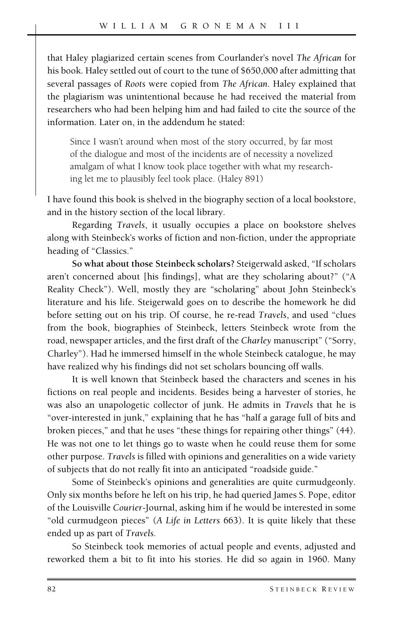that Haley plagiarized certain scenes from Courlander's novel *The African* for his book. Haley settled out of court to the tune of \$650,000 after admitting that several passages of *Roots* were copied from *The African*. Haley explained that the plagiarism was unintentional because he had received the material from researchers who had been helping him and had failed to cite the source of the information. Later on, in the addendum he stated:

Since I wasn't around when most of the story occurred, by far most of the dialogue and most of the incidents are of necessity a novelized amalgam of what I know took place together with what my researching let me to plausibly feel took place. (Haley 891)

I have found this book is shelved in the biography section of a local bookstore, and in the history section of the local library.

Regarding *Travels*, it usually occupies a place on bookstore shelves along with Steinbeck's works of fiction and non-fiction, under the appropriate heading of "Classics."

**So what about those Steinbeck scholars?** Steigerwald asked, "If scholars aren't concerned about [his findings], what are they scholaring about?" ("A Reality Check"). Well, mostly they are "scholaring" about John Steinbeck's literature and his life. Steigerwald goes on to describe the homework he did before setting out on his trip. Of course, he re-read *Travels*, and used "clues from the book, biographies of Steinbeck, letters Steinbeck wrote from the road, newspaper articles, and the first draft of the *Charley* manuscript" ("Sorry, Charley"). Had he immersed himself in the whole Steinbeck catalogue, he may have realized why his findings did not set scholars bouncing off walls.

It is well known that Steinbeck based the characters and scenes in his fictions on real people and incidents. Besides being a harvester of stories, he was also an unapologetic collector of junk. He admits in *Travels* that he is "over-interested in junk," explaining that he has "half a garage full of bits and broken pieces," and that he uses "these things for repairing other things" (44). He was not one to let things go to waste when he could reuse them for some other purpose. *Travels* is filled with opinions and generalities on a wide variety of subjects that do not really fit into an anticipated "roadside guide."

Some of Steinbeck's opinions and generalities are quite curmudgeonly. Only six months before he left on his trip, he had queried James S. Pope, editor of the Louisville *Courier*-Journal, asking him if he would be interested in some "old curmudgeon pieces" (*A Life in Letters* 663). It is quite likely that these ended up as part of *Travels.*

So Steinbeck took memories of actual people and events, adjusted and reworked them a bit to fit into his stories. He did so again in 1960. Many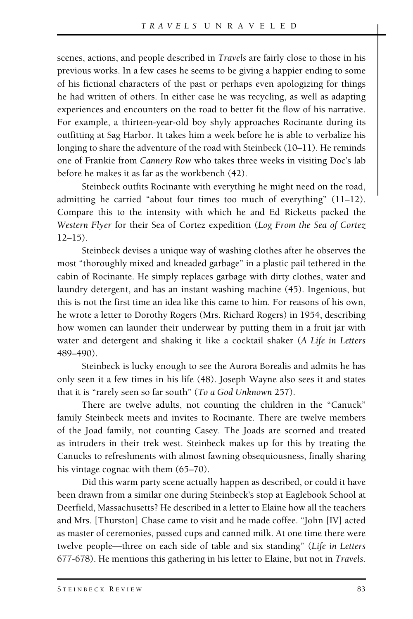scenes, actions, and people described in *Travels* are fairly close to those in his previous works. In a few cases he seems to be giving a happier ending to some of his fictional characters of the past or perhaps even apologizing for things he had written of others. In either case he was recycling, as well as adapting experiences and encounters on the road to better fit the flow of his narrative. For example, a thirteen-year-old boy shyly approaches Rocinante during its outfitting at Sag Harbor. It takes him a week before he is able to verbalize his longing to share the adventure of the road with Steinbeck (10–11). He reminds one of Frankie from *Cannery Row* who takes three weeks in visiting Doc's lab before he makes it as far as the workbench (42).

Steinbeck outfits Rocinante with everything he might need on the road, admitting he carried "about four times too much of everything" (11–12). Compare this to the intensity with which he and Ed Ricketts packed the *Western Flyer* for their Sea of Cortez expedition (*Log From the Sea of Cortez*  $12-15$ ).

Steinbeck devises a unique way of washing clothes after he observes the most "thoroughly mixed and kneaded garbage" in a plastic pail tethered in the cabin of Rocinante. He simply replaces garbage with dirty clothes, water and laundry detergent, and has an instant washing machine (45). Ingenious, but this is not the first time an idea like this came to him. For reasons of his own, he wrote a letter to Dorothy Rogers (Mrs. Richard Rogers) in 1954, describing how women can launder their underwear by putting them in a fruit jar with water and detergent and shaking it like a cocktail shaker (*A Life in Letters* 489–490).

Steinbeck is lucky enough to see the Aurora Borealis and admits he has only seen it a few times in his life (48). Joseph Wayne also sees it and states that it is "rarely seen so far south" (*To a God Unknown* 257).

There are twelve adults, not counting the children in the "Canuck" family Steinbeck meets and invites to Rocinante. There are twelve members of the Joad family, not counting Casey. The Joads are scorned and treated as intruders in their trek west. Steinbeck makes up for this by treating the Canucks to refreshments with almost fawning obsequiousness, finally sharing his vintage cognac with them  $(65–70)$ .

Did this warm party scene actually happen as described, or could it have been drawn from a similar one during Steinbeck's stop at Eaglebook School at Deerfield, Massachusetts? He described in a letter to Elaine how all the teachers and Mrs. [Thurston] Chase came to visit and he made coffee. "John [IV] acted as master of ceremonies, passed cups and canned milk. At one time there were twelve people—three on each side of table and six standing" (*Life in Letters* 677-678). He mentions this gathering in his letter to Elaine, but not in *Travels.*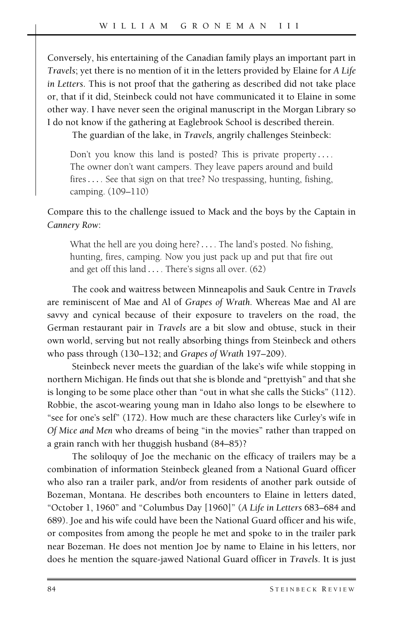Conversely, his entertaining of the Canadian family plays an important part in *Travels*; yet there is no mention of it in the letters provided by Elaine for *A Life in Letters*. This is not proof that the gathering as described did not take place or, that if it did, Steinbeck could not have communicated it to Elaine in some other way. I have never seen the original manuscript in the Morgan Library so I do not know if the gathering at Eaglebrook School is described therein.

The guardian of the lake, in *Travels,* angrily challenges Steinbeck:

Don't you know this land is posted? This is private property *...* . The owner don't want campers. They leave papers around and build fires*...* . See that sign on that tree? No trespassing, hunting, fishing, camping. (109–110)

Compare this to the challenge issued to Mack and the boys by the Captain in *Cannery Row*:

What the hell are you doing here?*...* . The land's posted. No fishing, hunting, fires, camping. Now you just pack up and put that fire out and get off this land *...* . There's signs all over. (62)

The cook and waitress between Minneapolis and Sauk Centre in *Travels* are reminiscent of Mae and Al of *Grapes of Wrath.* Whereas Mae and Al are savvy and cynical because of their exposure to travelers on the road, the German restaurant pair in *Travels* are a bit slow and obtuse, stuck in their own world, serving but not really absorbing things from Steinbeck and others who pass through (130–132; and *Grapes of Wrath* 197–209).

Steinbeck never meets the guardian of the lake's wife while stopping in northern Michigan. He finds out that she is blonde and "prettyish" and that she is longing to be some place other than "out in what she calls the Sticks" (112). Robbie, the ascot-wearing young man in Idaho also longs to be elsewhere to "see for one's self" (172). How much are these characters like Curley's wife in *Of Mice and Men* who dreams of being "in the movies" rather than trapped on a grain ranch with her thuggish husband (84–85)?

The soliloquy of Joe the mechanic on the efficacy of trailers may be a combination of information Steinbeck gleaned from a National Guard officer who also ran a trailer park, and/or from residents of another park outside of Bozeman, Montana. He describes both encounters to Elaine in letters dated, "October 1, 1960" and "Columbus Day [1960]" (*A Life in Letters* 683–684 and 689). Joe and his wife could have been the National Guard officer and his wife, or composites from among the people he met and spoke to in the trailer park near Bozeman. He does not mention Joe by name to Elaine in his letters, nor does he mention the square-jawed National Guard officer in *Travels*. It is just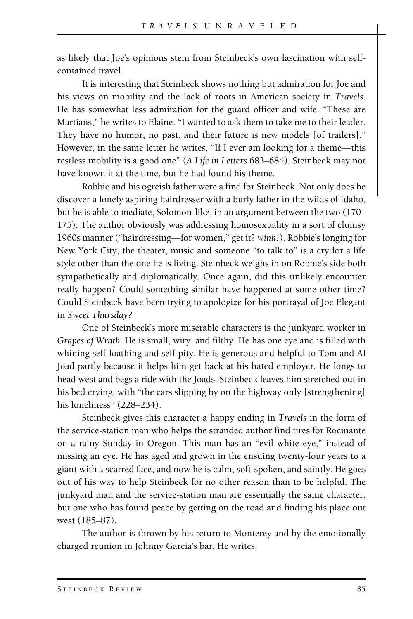as likely that Joe's opinions stem from Steinbeck's own fascination with selfcontained travel.

It is interesting that Steinbeck shows nothing but admiration for Joe and his views on mobility and the lack of roots in American society in *Travels*. He has somewhat less admiration for the guard officer and wife. "These are Martians," he writes to Elaine. "I wanted to ask them to take me to their leader. They have no humor, no past, and their future is new models [of trailers]." However, in the same letter he writes, "If I ever am looking for a theme—this restless mobility is a good one" (*A Life in Letters* 683–684). Steinbeck may not have known it at the time, but he had found his theme.

Robbie and his ogreish father were a find for Steinbeck. Not only does he discover a lonely aspiring hairdresser with a burly father in the wilds of Idaho, but he is able to mediate, Solomon-like, in an argument between the two (170– 175). The author obviously was addressing homosexuality in a sort of clumsy 1960s manner ("hairdressing—for women," get it? *wink!*). Robbie's longing for New York City, the theater, music and someone "to talk to" is a cry for a life style other than the one he is living. Steinbeck weighs in on Robbie's side both sympathetically and diplomatically. Once again, did this unlikely encounter really happen? Could something similar have happened at some other time? Could Steinbeck have been trying to apologize for his portrayal of Joe Elegant in *Sweet Thursday?*

One of Steinbeck's more miserable characters is the junkyard worker in *Grapes of Wrath*. He is small, wiry, and filthy. He has one eye and is filled with whining self-loathing and self-pity. He is generous and helpful to Tom and Al Joad partly because it helps him get back at his hated employer. He longs to head west and begs a ride with the Joads. Steinbeck leaves him stretched out in his bed crying, with "the cars slipping by on the highway only [strengthening] his loneliness" (228–234).

Steinbeck gives this character a happy ending in *Travels* in the form of the service-station man who helps the stranded author find tires for Rocinante on a rainy Sunday in Oregon. This man has an "evil white eye," instead of missing an eye. He has aged and grown in the ensuing twenty-four years to a giant with a scarred face, and now he is calm, soft-spoken, and saintly. He goes out of his way to help Steinbeck for no other reason than to be helpful. The junkyard man and the service-station man are essentially the same character, but one who has found peace by getting on the road and finding his place out west (185–87).

The author is thrown by his return to Monterey and by the emotionally charged reunion in Johnny Garcia's bar. He writes: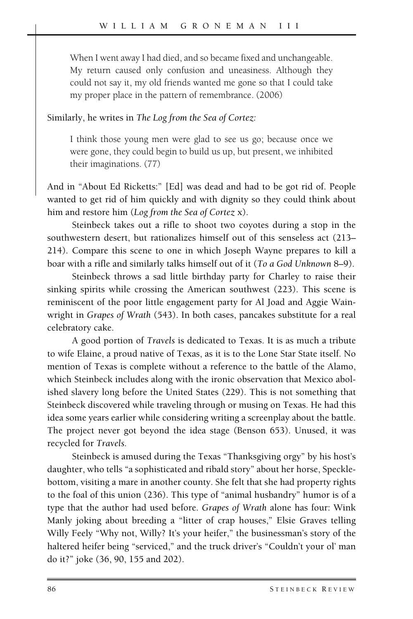When I went away I had died, and so became fixed and unchangeable. My return caused only confusion and uneasiness. Although they could not say it, my old friends wanted me gone so that I could take my proper place in the pattern of remembrance. (2006)

#### Similarly, he writes in *The Log from the Sea of Cortez:*

I think those young men were glad to see us go; because once we were gone, they could begin to build us up, but present, we inhibited their imaginations. (77)

And in "About Ed Ricketts:" [Ed] was dead and had to be got rid of. People wanted to get rid of him quickly and with dignity so they could think about him and restore him (*Log from the Sea of Cortez* x).

Steinbeck takes out a rifle to shoot two coyotes during a stop in the southwestern desert, but rationalizes himself out of this senseless act (213– 214). Compare this scene to one in which Joseph Wayne prepares to kill a boar with a rifle and similarly talks himself out of it (*To a God Unknown* 8–9).

Steinbeck throws a sad little birthday party for Charley to raise their sinking spirits while crossing the American southwest (223). This scene is reminiscent of the poor little engagement party for Al Joad and Aggie Wainwright in *Grapes of Wrath* (543). In both cases, pancakes substitute for a real celebratory cake.

A good portion of *Travels* is dedicated to Texas. It is as much a tribute to wife Elaine, a proud native of Texas, as it is to the Lone Star State itself. No mention of Texas is complete without a reference to the battle of the Alamo, which Steinbeck includes along with the ironic observation that Mexico abolished slavery long before the United States (229). This is not something that Steinbeck discovered while traveling through or musing on Texas. He had this idea some years earlier while considering writing a screenplay about the battle. The project never got beyond the idea stage (Benson 653). Unused, it was recycled for *Travels.*

Steinbeck is amused during the Texas "Thanksgiving orgy" by his host's daughter, who tells "a sophisticated and ribald story" about her horse, Specklebottom, visiting a mare in another county. She felt that she had property rights to the foal of this union (236). This type of "animal husbandry" humor is of a type that the author had used before. *Grapes of Wrath* alone has four: Wink Manly joking about breeding a "litter of crap houses," Elsie Graves telling Willy Feely "Why not, Willy? It's your heifer," the businessman's story of the haltered heifer being "serviced," and the truck driver's "Couldn't your ol' man do it?" joke (36, 90, 155 and 202).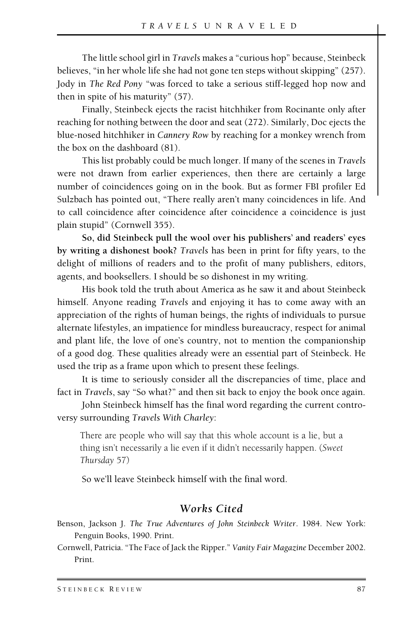The little school girl in *Travels* makes a "curious hop" because, Steinbeck believes, "in her whole life she had not gone ten steps without skipping" (257). Jody in *The Red Pony* "was forced to take a serious stiff-legged hop now and then in spite of his maturity" (57).

Finally, Steinbeck ejects the racist hitchhiker from Rocinante only after reaching for nothing between the door and seat (272). Similarly, Doc ejects the blue-nosed hitchhiker in *Cannery Row* by reaching for a monkey wrench from the box on the dashboard (81).

This list probably could be much longer. If many of the scenes in *Travels* were not drawn from earlier experiences, then there are certainly a large number of coincidences going on in the book. But as former FBI profiler Ed Sulzbach has pointed out, "There really aren't many coincidences in life. And to call coincidence after coincidence after coincidence a coincidence is just plain stupid" (Cornwell 355).

**So, did Steinbeck pull the wool over his publishers' and readers' eyes by writing a dishonest book?** *Travels* has been in print for fifty years, to the delight of millions of readers and to the profit of many publishers, editors, agents, and booksellers. I should be so dishonest in my writing.

His book told the truth about America as he saw it and about Steinbeck himself. Anyone reading *Travels* and enjoying it has to come away with an appreciation of the rights of human beings, the rights of individuals to pursue alternate lifestyles, an impatience for mindless bureaucracy, respect for animal and plant life, the love of one's country, not to mention the companionship of a good dog. These qualities already were an essential part of Steinbeck. He used the trip as a frame upon which to present these feelings.

It is time to seriously consider all the discrepancies of time, place and fact in *Travels*, say "So what?" and then sit back to enjoy the book once again.

John Steinbeck himself has the final word regarding the current controversy surrounding *Travels With Charley*:

There are people who will say that this whole account is a lie, but a thing isn't necessarily a lie even if it didn't necessarily happen. (*Sweet Thursday* 57)

So we'll leave Steinbeck himself with the final word.

### *Works Cited*

Benson, Jackson J. *The True Adventures of John Steinbeck Writer*. 1984. New York: Penguin Books, 1990. Print.

Cornwell, Patricia. "The Face of Jack the Ripper." *Vanity Fair Magazine* December 2002. Print.